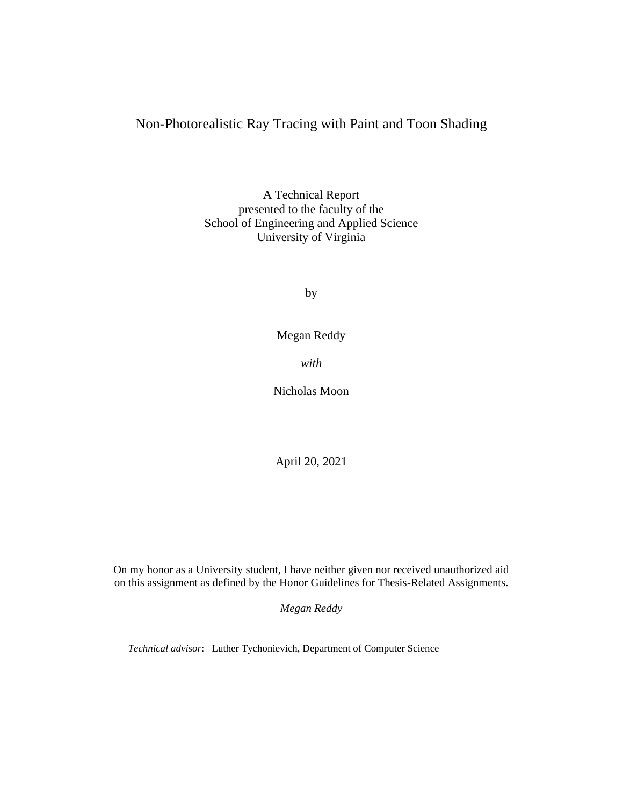# Non-Photorealistic Ray Tracing with Paint and Toon Shading

A Technical Report presented to the faculty of the School of Engineering and Applied Science University of Virginia

by

Megan Reddy

*with*

Nicholas Moon

April 20, 2021

On my honor as a University student, I have neither given nor received unauthorized aid on this assignment as defined by the Honor Guidelines for Thesis-Related Assignments.

*Megan Reddy*

*Technical advisor*: Luther Tychonievich, Department of Computer Science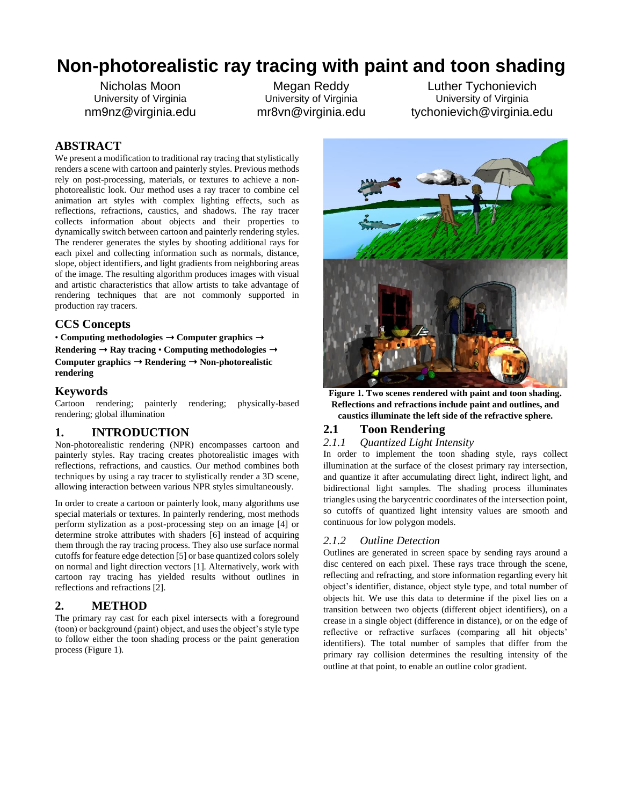# **Non-photorealistic ray tracing with paint and toon shading**

Nicholas Moon University of Virginia nm9nz@virginia.edu

Megan Reddy University of Virginia mr8vn@virginia.edu

Luther Tychonievich University of Virginia tychonievich@virginia.edu

# **ABSTRACT**

We present a modification to traditional ray tracing that stylistically renders a scene with cartoon and painterly styles. Previous methods rely on post-processing, materials, or textures to achieve a nonphotorealistic look. Our method uses a ray tracer to combine cel animation art styles with complex lighting effects, such as reflections, refractions, caustics, and shadows. The ray tracer collects information about objects and their properties to dynamically switch between cartoon and painterly rendering styles. The renderer generates the styles by shooting additional rays for each pixel and collecting information such as normals, distance, slope, object identifiers, and light gradients from neighboring areas of the image. The resulting algorithm produces images with visual and artistic characteristics that allow artists to take advantage of rendering techniques that are not commonly supported in production ray tracers.

#### **CCS Concepts**

• **Computing methodologies** ➝ **Computer graphics** ➝ **Rendering** ➝ **Ray tracing** • **Computing methodologies** ➝ Computer graphics  $\rightarrow$  Rendering  $\rightarrow$  Non-photorealistic **rendering**

## **Keywords**

Cartoon rendering; painterly rendering; physically-based rendering; global illumination

## **1. INTRODUCTION**

Non-photorealistic rendering (NPR) encompasses cartoon and painterly styles. Ray tracing creates photorealistic images with reflections, refractions, and caustics. Our method combines both techniques by using a ray tracer to stylistically render a 3D scene, allowing interaction between various NPR styles simultaneously.

In order to create a cartoon or painterly look, many algorithms use special materials or textures. In painterly rendering, most methods perform stylization as a post-processing step on an image [4] or determine stroke attributes with shaders [6] instead of acquiring them through the ray tracing process. They also use surface normal cutoffs for feature edge detection [5] or base quantized colors solely on normal and light direction vectors [1]. Alternatively, work with cartoon ray tracing has yielded results without outlines in reflections and refractions [2].

# **2. METHOD**

The primary ray cast for each pixel intersects with a foreground (toon) or background (paint) object, and uses the object's style type to follow either the toon shading process or the paint generation process (Figure 1).



**Figure 1. Two scenes rendered with paint and toon shading. Reflections and refractions include paint and outlines, and caustics illuminate the left side of the refractive sphere.**

# **2.1 Toon Rendering**

#### *2.1.1 Quantized Light Intensity*

In order to implement the toon shading style, rays collect illumination at the surface of the closest primary ray intersection, and quantize it after accumulating direct light, indirect light, and bidirectional light samples. The shading process illuminates triangles using the barycentric coordinates of the intersection point, so cutoffs of quantized light intensity values are smooth and continuous for low polygon models.

#### *2.1.2 Outline Detection*

Outlines are generated in screen space by sending rays around a disc centered on each pixel. These rays trace through the scene, reflecting and refracting, and store information regarding every hit object's identifier, distance, object style type, and total number of objects hit. We use this data to determine if the pixel lies on a transition between two objects (different object identifiers), on a crease in a single object (difference in distance), or on the edge of reflective or refractive surfaces (comparing all hit objects' identifiers). The total number of samples that differ from the primary ray collision determines the resulting intensity of the outline at that point, to enable an outline color gradient.